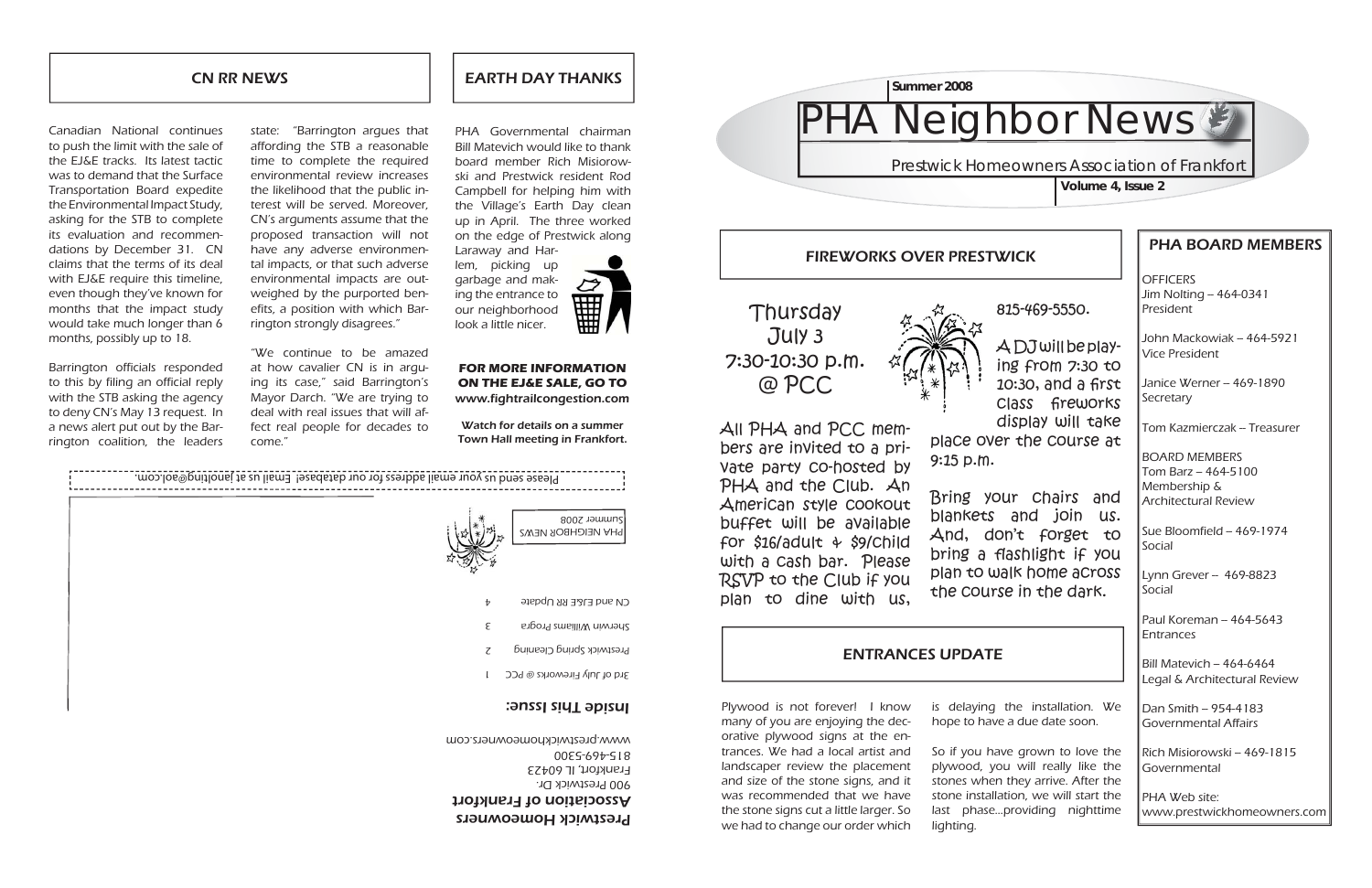**OFFICERS**  $Jim$  Nolting  $-464-0341$ President

# PHA BOARD MEMBERS

John Mackowiak -- 464-5921 Vice President

Janice Werner – 469-1890 Secretary

Tom Kazmierczak – Treasurer

Sue Bloomfield – 469-1974 Social

Lynn Grever - 469-8823 Social

Paul Koreman –  $464-5643$ Entrances

 $\parallel$ Bill Matevich -- 464-6464 Legal & Architectural Review

 $\,$  Dan Smith – 954-4183 Governmental Affairs

BOARD MEMBERS  $T$ om Barz -- 464-5100 Membership & Architectural Review

Rich Misiorowski – 469-1815 Governmental

**Prestwick Homeowners Association of Frankfort Volume 4, Issue 2**

PHA Web site:www.prestwickhomeowners.com

Prestwick Homeowners Association of Frankfort 900 Prestwick Dr. Frankfort, IL 60423 815-469-5300



### CN RR NEWS

815-469-5550.

A DJ will be playing from 7:30 to 10:30, and a first class fi reworks display will take place over the course at

Bring your chairs and blankets and join us. And, don't forget to bring a flashlight if you plan to walk home across the course in the dark.

EARTH DAY THANKS

PHA Governmental chairman Bill Matevich would like to thank board member Rich Misiorowski and Prestwick resident Rod Campbell for helping him with the Village's Earth Day clean up in April. The three worked on the edge of Prestwick along Laraway and Har-



lem, picking up garbage and making the entrance to our neighborhood look a little nicer.

### **FOR MORE INFORMATION ON THE EJ&E SALE, GO TO** www.fightrailcongestion.com

Watch for details on a summer Town Hall meeting in Frankfort.

Canadian National continues to push the limit with the sale of the EJ&E tracks. Its latest tactic was to demand that the Surface Transportation Board expedite the Environmental Impact Study, asking for the STB to complete its evaluation and recommendations by December 31. CN claims that the terms of its deal with EJ&E require this timeline, even though they've known for months that the impact study would take much longer than 6 months, possibly up to 18.

Barrington officials responded to this by filing an official reply with the STB asking the agency to deny CN's May 13 request. In a news alert put out by the Barrington coalition, the leaders

> and size of the stone signs, and it was recommended that we have the stone signs cut a little larger. So we had to change our order which

is delaying the installation. We

So if you have grown to love the plywood, you will really like the stones when they arrive. After the stone installation, we will start the last phase...providing nighttime lighting.

# **HA Neighbor News &**

state: "Barrington argues that affording the STB a reasonable time to complete the required environmental review increases the likelihood that the public interest will be served. Moreover, CN's arguments assume that the proposed transaction will not have any adverse environmental impacts, or that such adverse environmental impacts are outweighed by the purported benefits, a position with which Barrington strongly disagrees."

"We continue to be amazed at how cavalier CN is in arguing its case," said Barrington's Mayor Darch. "We are trying to deal with real issues that will affect real people for decades to come."